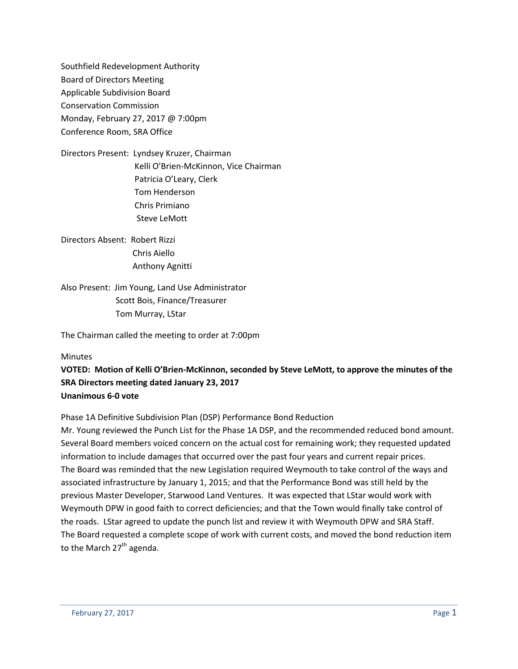Southfield Redevelopment Authority Board of Directors Meeting Applicable Subdivision Board Conservation Commission Monday, February 27, 2017 @ 7:00pm Conference Room, SRA Office

- Directors Present: Lyndsey Kruzer, Chairman Kelli O'Brien-McKinnon, Vice Chairman Patricia O'Leary, Clerk Tom Henderson Chris Primiano Steve LeMott
- Directors Absent: Robert Rizzi Chris Aiello Anthony Agnitti

Also Present: Jim Young, Land Use Administrator Scott Bois, Finance/Treasurer Tom Murray, LStar

The Chairman called the meeting to order at 7:00pm

### Minutes

**VOTED: Motion of Kelli O'Brien-McKinnon, seconded by Steve LeMott, to approve the minutes of the SRA Directors meeting dated January 23, 2017 Unanimous 6-0 vote**

Phase 1A Definitive Subdivision Plan (DSP) Performance Bond Reduction

Mr. Young reviewed the Punch List for the Phase 1A DSP, and the recommended reduced bond amount. Several Board members voiced concern on the actual cost for remaining work; they requested updated information to include damages that occurred over the past four years and current repair prices. The Board was reminded that the new Legislation required Weymouth to take control of the ways and associated infrastructure by January 1, 2015; and that the Performance Bond was still held by the previous Master Developer, Starwood Land Ventures. It was expected that LStar would work with Weymouth DPW in good faith to correct deficiencies; and that the Town would finally take control of the roads. LStar agreed to update the punch list and review it with Weymouth DPW and SRA Staff. The Board requested a complete scope of work with current costs, and moved the bond reduction item to the March  $27<sup>th</sup>$  agenda.